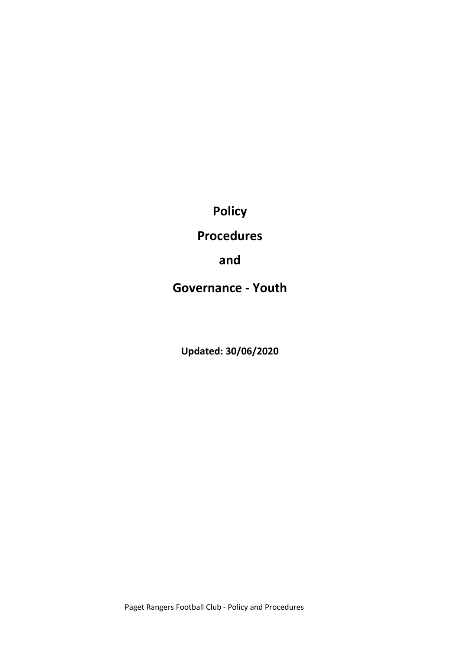Policy

Procedures

and

Governance - Youth

Updated: 30/06/2020

Paget Rangers Football Club - Policy and Procedures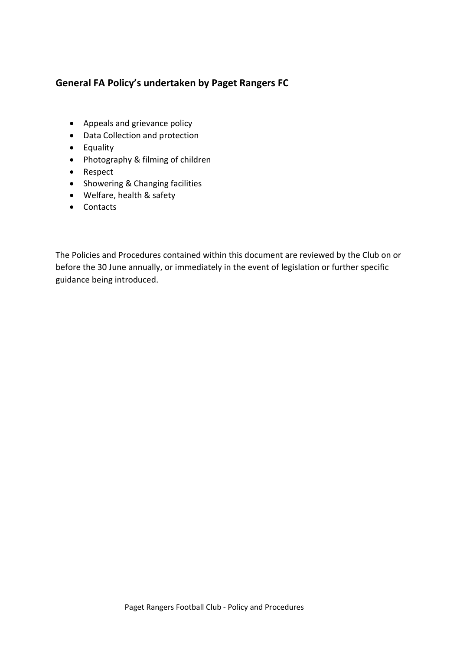### General FA Policy's undertaken by Paget Rangers FC

- Appeals and grievance policy
- Data Collection and protection
- Equality
- Photography & filming of children
- Respect
- Showering & Changing facilities
- Welfare, health & safety
- Contacts

The Policies and Procedures contained within this document are reviewed by the Club on or before the 30 June annually, or immediately in the event of legislation or further specific guidance being introduced.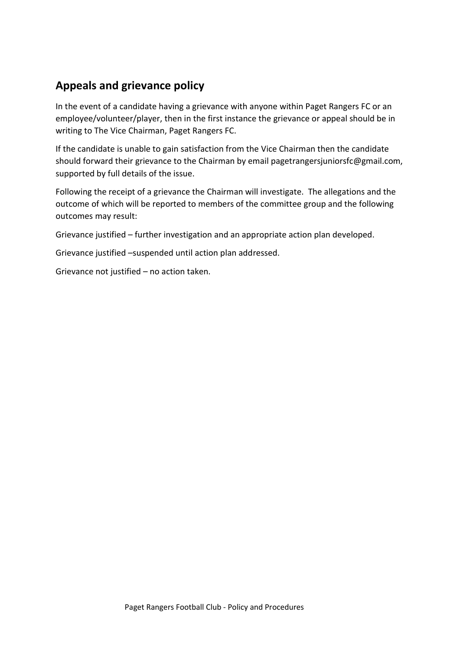# Appeals and grievance policy

In the event of a candidate having a grievance with anyone within Paget Rangers FC or an employee/volunteer/player, then in the first instance the grievance or appeal should be in writing to The Vice Chairman, Paget Rangers FC.

If the candidate is unable to gain satisfaction from the Vice Chairman then the candidate should forward their grievance to the Chairman by email pagetrangersjuniorsfc@gmail.com, supported by full details of the issue.

Following the receipt of a grievance the Chairman will investigate. The allegations and the outcome of which will be reported to members of the committee group and the following outcomes may result:

Grievance justified – further investigation and an appropriate action plan developed.

Grievance justified –suspended until action plan addressed.

Grievance not justified – no action taken.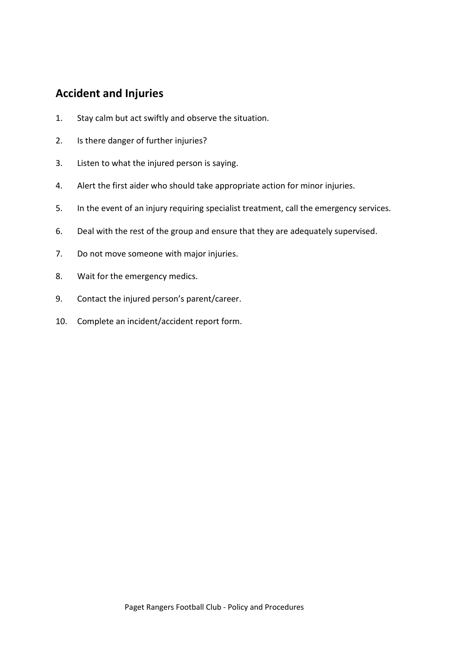## Accident and Injuries

- 1. Stay calm but act swiftly and observe the situation.
- 2. Is there danger of further injuries?
- 3. Listen to what the injured person is saying.
- 4. Alert the first aider who should take appropriate action for minor injuries.
- 5. In the event of an injury requiring specialist treatment, call the emergency services.
- 6. Deal with the rest of the group and ensure that they are adequately supervised.
- 7. Do not move someone with major injuries.
- 8. Wait for the emergency medics.
- 9. Contact the injured person's parent/career.
- 10. Complete an incident/accident report form.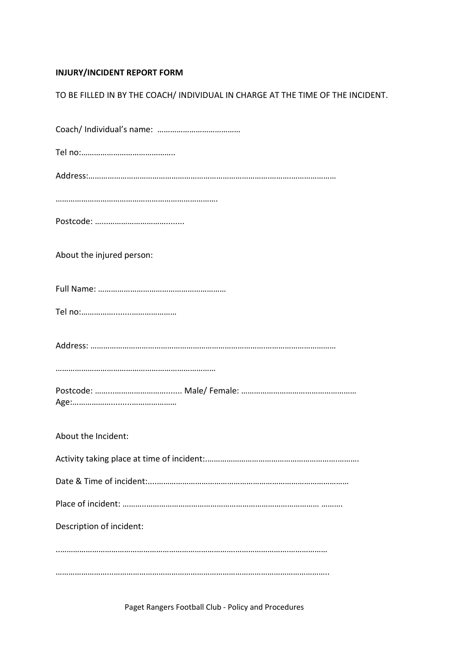#### INJURY/INCIDENT REPORT FORM

| TO BE FILLED IN BY THE COACH/ INDIVIDUAL IN CHARGE AT THE TIME OF THE INCIDENT. |  |
|---------------------------------------------------------------------------------|--|
|                                                                                 |  |

| About the injured person: |
|---------------------------|
|                           |
|                           |
|                           |
|                           |
|                           |
| About the Incident:       |
|                           |
|                           |
|                           |
| Description of incident:  |
|                           |
|                           |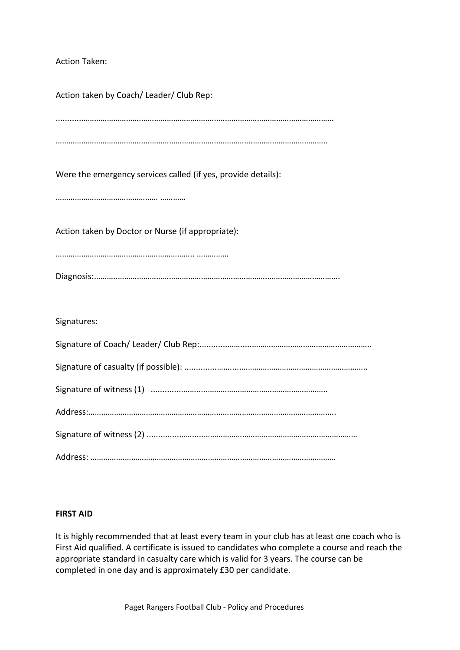Action Taken:

| Action taken by Coach/ Leader/ Club Rep:                      |
|---------------------------------------------------------------|
|                                                               |
| Were the emergency services called (if yes, provide details): |
|                                                               |
| Action taken by Doctor or Nurse (if appropriate):             |
|                                                               |
|                                                               |
| Signatures:                                                   |
|                                                               |
|                                                               |
|                                                               |
|                                                               |
|                                                               |
|                                                               |

#### FIRST AID

It is highly recommended that at least every team in your club has at least one coach who is First Aid qualified. A certificate is issued to candidates who complete a course and reach the appropriate standard in casualty care which is valid for 3 years. The course can be completed in one day and is approximately £30 per candidate.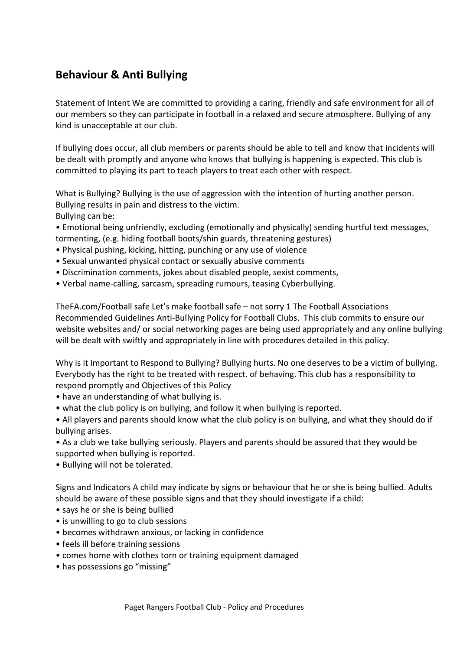# Behaviour & Anti Bullying

Statement of Intent We are committed to providing a caring, friendly and safe environment for all of our members so they can participate in football in a relaxed and secure atmosphere. Bullying of any kind is unacceptable at our club.

If bullying does occur, all club members or parents should be able to tell and know that incidents will be dealt with promptly and anyone who knows that bullying is happening is expected. This club is committed to playing its part to teach players to treat each other with respect.

What is Bullying? Bullying is the use of aggression with the intention of hurting another person. Bullying results in pain and distress to the victim. Bullying can be:

• Emotional being unfriendly, excluding (emotionally and physically) sending hurtful text messages, tormenting, (e.g. hiding football boots/shin guards, threatening gestures)

- Physical pushing, kicking, hitting, punching or any use of violence
- Sexual unwanted physical contact or sexually abusive comments
- Discrimination comments, jokes about disabled people, sexist comments,
- Verbal name-calling, sarcasm, spreading rumours, teasing Cyberbullying.

TheFA.com/Football safe Let's make football safe – not sorry 1 The Football Associations Recommended Guidelines Anti-Bullying Policy for Football Clubs. This club commits to ensure our website websites and/ or social networking pages are being used appropriately and any online bullying will be dealt with swiftly and appropriately in line with procedures detailed in this policy.

Why is it Important to Respond to Bullying? Bullying hurts. No one deserves to be a victim of bullying. Everybody has the right to be treated with respect. of behaving. This club has a responsibility to respond promptly and Objectives of this Policy

- have an understanding of what bullying is.
- what the club policy is on bullying, and follow it when bullying is reported.
- All players and parents should know what the club policy is on bullying, and what they should do if bullying arises.
- As a club we take bullying seriously. Players and parents should be assured that they would be supported when bullying is reported.
- Bullying will not be tolerated.

Signs and Indicators A child may indicate by signs or behaviour that he or she is being bullied. Adults should be aware of these possible signs and that they should investigate if a child:

- says he or she is being bullied
- is unwilling to go to club sessions
- becomes withdrawn anxious, or lacking in confidence
- feels ill before training sessions
- comes home with clothes torn or training equipment damaged
- has possessions go "missing"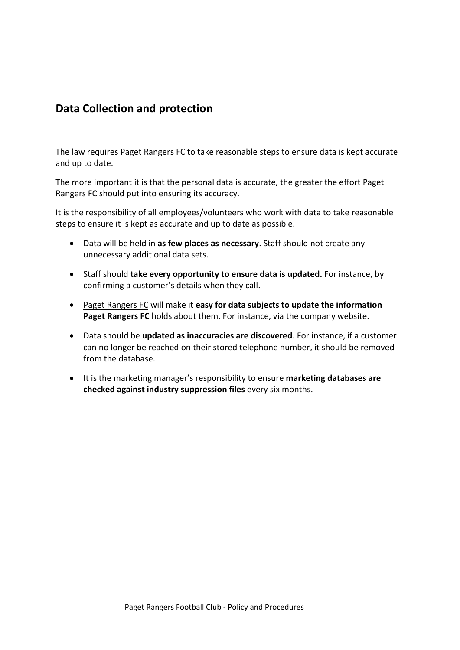## Data Collection and protection

The law requires Paget Rangers FC to take reasonable steps to ensure data is kept accurate and up to date.

The more important it is that the personal data is accurate, the greater the effort Paget Rangers FC should put into ensuring its accuracy.

It is the responsibility of all employees/volunteers who work with data to take reasonable steps to ensure it is kept as accurate and up to date as possible.

- Data will be held in as few places as necessary. Staff should not create any unnecessary additional data sets.
- Staff should take every opportunity to ensure data is updated. For instance, by confirming a customer's details when they call.
- Paget Rangers FC will make it easy for data subjects to update the information Paget Rangers FC holds about them. For instance, via the company website.
- Data should be updated as inaccuracies are discovered. For instance, if a customer can no longer be reached on their stored telephone number, it should be removed from the database.
- It is the marketing manager's responsibility to ensure marketing databases are checked against industry suppression files every six months.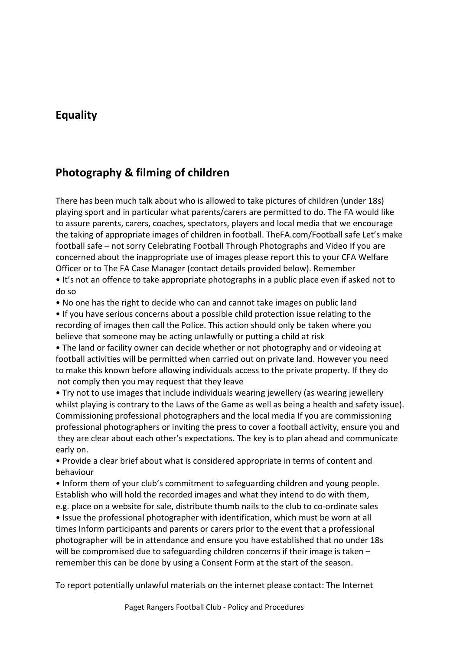## Equality

# Photography & filming of children

There has been much talk about who is allowed to take pictures of children (under 18s) playing sport and in particular what parents/carers are permitted to do. The FA would like to assure parents, carers, coaches, spectators, players and local media that we encourage the taking of appropriate images of children in football. TheFA.com/Football safe Let's make football safe – not sorry Celebrating Football Through Photographs and Video If you are concerned about the inappropriate use of images please report this to your CFA Welfare Officer or to The FA Case Manager (contact details provided below). Remember

• It's not an offence to take appropriate photographs in a public place even if asked not to do so

• No one has the right to decide who can and cannot take images on public land

• If you have serious concerns about a possible child protection issue relating to the recording of images then call the Police. This action should only be taken where you believe that someone may be acting unlawfully or putting a child at risk

• The land or facility owner can decide whether or not photography and or videoing at football activities will be permitted when carried out on private land. However you need to make this known before allowing individuals access to the private property. If they do not comply then you may request that they leave

• Try not to use images that include individuals wearing jewellery (as wearing jewellery whilst playing is contrary to the Laws of the Game as well as being a health and safety issue). Commissioning professional photographers and the local media If you are commissioning professional photographers or inviting the press to cover a football activity, ensure you and they are clear about each other's expectations. The key is to plan ahead and communicate early on.

• Provide a clear brief about what is considered appropriate in terms of content and behaviour

• Inform them of your club's commitment to safeguarding children and young people. Establish who will hold the recorded images and what they intend to do with them, e.g. place on a website for sale, distribute thumb nails to the club to co-ordinate sales • Issue the professional photographer with identification, which must be worn at all times Inform participants and parents or carers prior to the event that a professional photographer will be in attendance and ensure you have established that no under 18s will be compromised due to safeguarding children concerns if their image is taken – remember this can be done by using a Consent Form at the start of the season.

To report potentially unlawful materials on the internet please contact: The Internet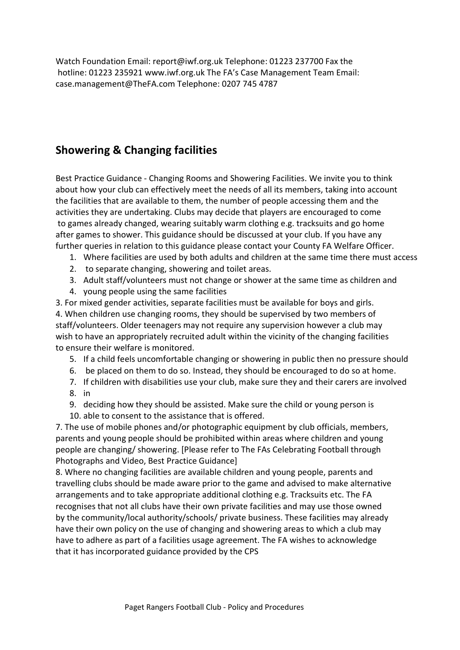Watch Foundation Email: report@iwf.org.uk Telephone: 01223 237700 Fax the hotline: 01223 235921 www.iwf.org.uk The FA's Case Management Team Email: case.management@TheFA.com Telephone: 0207 745 4787

# Showering & Changing facilities

Best Practice Guidance - Changing Rooms and Showering Facilities. We invite you to think about how your club can effectively meet the needs of all its members, taking into account the facilities that are available to them, the number of people accessing them and the activities they are undertaking. Clubs may decide that players are encouraged to come to games already changed, wearing suitably warm clothing e.g. tracksuits and go home after games to shower. This guidance should be discussed at your club. If you have any further queries in relation to this guidance please contact your County FA Welfare Officer.

- 1. Where facilities are used by both adults and children at the same time there must access
- 2. to separate changing, showering and toilet areas.
- 3. Adult staff/volunteers must not change or shower at the same time as children and
- 4. young people using the same facilities

3. For mixed gender activities, separate facilities must be available for boys and girls. 4. When children use changing rooms, they should be supervised by two members of staff/volunteers. Older teenagers may not require any supervision however a club may wish to have an appropriately recruited adult within the vicinity of the changing facilities to ensure their welfare is monitored.

- 5. If a child feels uncomfortable changing or showering in public then no pressure should
- 6. be placed on them to do so. Instead, they should be encouraged to do so at home.
- 7. If children with disabilities use your club, make sure they and their carers are involved
- 8. in
- 9. deciding how they should be assisted. Make sure the child or young person is
- 10. able to consent to the assistance that is offered.

7. The use of mobile phones and/or photographic equipment by club officials, members, parents and young people should be prohibited within areas where children and young people are changing/ showering. [Please refer to The FAs Celebrating Football through Photographs and Video, Best Practice Guidance]

8. Where no changing facilities are available children and young people, parents and travelling clubs should be made aware prior to the game and advised to make alternative arrangements and to take appropriate additional clothing e.g. Tracksuits etc. The FA recognises that not all clubs have their own private facilities and may use those owned by the community/local authority/schools/ private business. These facilities may already have their own policy on the use of changing and showering areas to which a club may have to adhere as part of a facilities usage agreement. The FA wishes to acknowledge that it has incorporated guidance provided by the CPS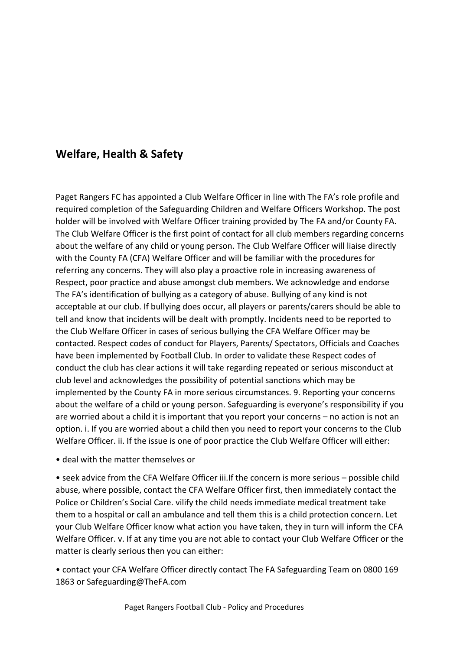# Welfare, Health & Safety

Paget Rangers FC has appointed a Club Welfare Officer in line with The FA's role profile and required completion of the Safeguarding Children and Welfare Officers Workshop. The post holder will be involved with Welfare Officer training provided by The FA and/or County FA. The Club Welfare Officer is the first point of contact for all club members regarding concerns about the welfare of any child or young person. The Club Welfare Officer will liaise directly with the County FA (CFA) Welfare Officer and will be familiar with the procedures for referring any concerns. They will also play a proactive role in increasing awareness of Respect, poor practice and abuse amongst club members. We acknowledge and endorse The FA's identification of bullying as a category of abuse. Bullying of any kind is not acceptable at our club. If bullying does occur, all players or parents/carers should be able to tell and know that incidents will be dealt with promptly. Incidents need to be reported to the Club Welfare Officer in cases of serious bullying the CFA Welfare Officer may be contacted. Respect codes of conduct for Players, Parents/ Spectators, Officials and Coaches have been implemented by Football Club. In order to validate these Respect codes of conduct the club has clear actions it will take regarding repeated or serious misconduct at club level and acknowledges the possibility of potential sanctions which may be implemented by the County FA in more serious circumstances. 9. Reporting your concerns about the welfare of a child or young person. Safeguarding is everyone's responsibility if you are worried about a child it is important that you report your concerns – no action is not an option. i. If you are worried about a child then you need to report your concerns to the Club Welfare Officer. ii. If the issue is one of poor practice the Club Welfare Officer will either:

• deal with the matter themselves or

• seek advice from the CFA Welfare Officer iii.If the concern is more serious – possible child abuse, where possible, contact the CFA Welfare Officer first, then immediately contact the Police or Children's Social Care. vilify the child needs immediate medical treatment take them to a hospital or call an ambulance and tell them this is a child protection concern. Let your Club Welfare Officer know what action you have taken, they in turn will inform the CFA Welfare Officer. v. If at any time you are not able to contact your Club Welfare Officer or the matter is clearly serious then you can either:

• contact your CFA Welfare Officer directly contact The FA Safeguarding Team on 0800 169 1863 or Safeguarding@TheFA.com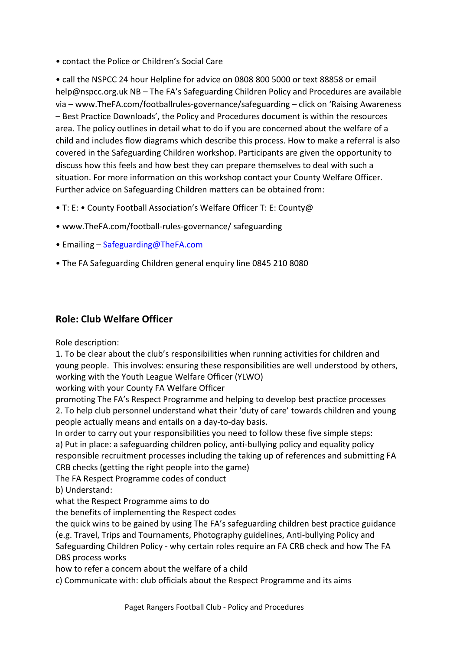• contact the Police or Children's Social Care

• call the NSPCC 24 hour Helpline for advice on 0808 800 5000 or text 88858 or email help@nspcc.org.uk NB – The FA's Safeguarding Children Policy and Procedures are available via – www.TheFA.com/footballrules-governance/safeguarding – click on 'Raising Awareness – Best Practice Downloads', the Policy and Procedures document is within the resources area. The policy outlines in detail what to do if you are concerned about the welfare of a child and includes flow diagrams which describe this process. How to make a referral is also covered in the Safeguarding Children workshop. Participants are given the opportunity to discuss how this feels and how best they can prepare themselves to deal with such a situation. For more information on this workshop contact your County Welfare Officer. Further advice on Safeguarding Children matters can be obtained from:

- T: E: County Football Association's Welfare Officer T: E: County@
- www.TheFA.com/football-rules-governance/ safeguarding
- Emailing Safeguarding@TheFA.com
- The FA Safeguarding Children general enquiry line 0845 210 8080

### Role: Club Welfare Officer

Role description:

1. To be clear about the club's responsibilities when running activities for children and young people. This involves: ensuring these responsibilities are well understood by others, working with the Youth League Welfare Officer (YLWO)

working with your County FA Welfare Officer

promoting The FA's Respect Programme and helping to develop best practice processes 2. To help club personnel understand what their 'duty of care' towards children and young people actually means and entails on a day-to-day basis.

In order to carry out your responsibilities you need to follow these five simple steps: a) Put in place: a safeguarding children policy, anti-bullying policy and equality policy responsible recruitment processes including the taking up of references and submitting FA CRB checks (getting the right people into the game)

The FA Respect Programme codes of conduct

b) Understand:

what the Respect Programme aims to do

the benefits of implementing the Respect codes

the quick wins to be gained by using The FA's safeguarding children best practice guidance (e.g. Travel, Trips and Tournaments, Photography guidelines, Anti-bullying Policy and Safeguarding Children Policy - why certain roles require an FA CRB check and how The FA DBS process works

how to refer a concern about the welfare of a child

c) Communicate with: club officials about the Respect Programme and its aims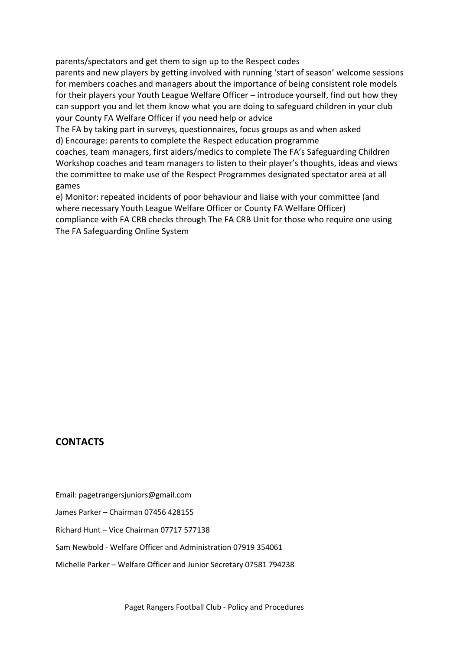parents/spectators and get them to sign up to the Respect codes

parents and new players by getting involved with running 'start of season' welcome sessions for members coaches and managers about the importance of being consistent role models for their players your Youth League Welfare Officer – introduce yourself, find out how they can support you and let them know what you are doing to safeguard children in your club your County FA Welfare Officer if you need help or advice

The FA by taking part in surveys, questionnaires, focus groups as and when asked d) Encourage: parents to complete the Respect education programme

coaches, team managers, first aiders/medics to complete The FA's Safeguarding Children Workshop coaches and team managers to listen to their player's thoughts, ideas and views the committee to make use of the Respect Programmes designated spectator area at all games

e) Monitor: repeated incidents of poor behaviour and liaise with your committee (and where necessary Youth League Welfare Officer or County FA Welfare Officer) compliance with FA CRB checks through The FA CRB Unit for those who require one using The FA Safeguarding Online System

#### **CONTACTS**

- Email: pagetrangersjuniors@gmail.com
- James Parker Chairman 07456 428155
- Richard Hunt Vice Chairman 07717 577138
- Sam Newbold Welfare Officer and Administration 07919 354061
- Michelle Parker Welfare Officer and Junior Secretary 07581 794238